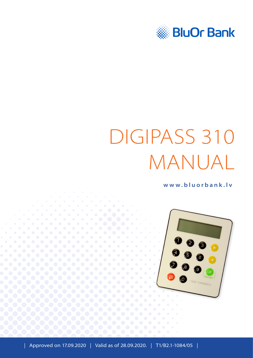

# DIGIPASS 310 MANUAL

**[www.bluorbank.lv](https://www.bluorbank.lv/en/index)**

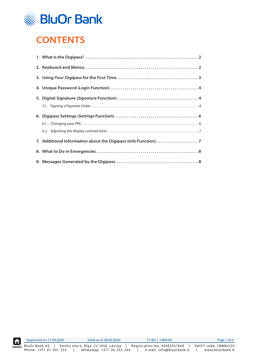

# <span id="page-1-0"></span>**CONTENTS**

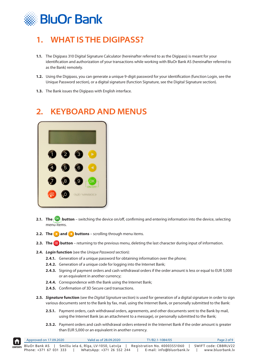<span id="page-2-0"></span>

# **1. WHAT IS THE DIGIPASS?**

- **1.1.** The Digipass 310 Digital Signature Calculator (hereinafter referred to as the Digipass) is meant for your identification and authorization of your transactions while working with BluOr Bank AS (hereinafter referred to as the Bank) remotely.
- **1.2.** Using the Digipass, you can generate a unique 9-digit password for your identification (function Login, see the Unique Password section), or a digital signature (function Signature, see the Digital Signature section).
- **1.3.** The Bank issues the Digipass with English interface.

# **2. KEYBOARD AND MENUS**



- **2.1. The button** switching the device on/off, confirming and entering information into the device, selecting menu items.
- **2.2. The and buttons** scrolling through menu items.
- **2.3. The button** returning to the previous menu, deleting the last character during input of information.
- **2.4.** *Login* **function** (see the *Unique Password* section):
	- **2.4.1.** Generation of a unique password for obtaining information over the phone;
	- **2.4.2.** Generation of a unique code for logging into the Internet Bank;
	- **2.4.3.** Signing of payment orders and cash withdrawal orders if the order amount is less or equal to EUR 5,000 or an equivalent in another currency;
	- **2.4.4.** Correspondence with the Bank using the Internet Bank;
	- **2.4.5.** Confirmation of 3D Secure card transactions.
- **2.5.** *Signature* **function** (see the *Digital Signature* section) is used for generation of a digital signature in order to sign various documents sent to the Bank by fax, mail, using the Internet Bank, or personally submitted to the Bank:
	- **2.5.1.** Payment orders, cash withdrawal orders, agreements, and other documents sent to the Bank by mail, using the Internet Bank (as an attachment to a message), or personally submitted to the Bank;
	- **2.5.2.** Payment orders and cash withdrawal orders entered in the Internet Bank if the order amount is greater than EUR 5,000 or an equivalent in another currency.

| <b>Ifil</b> | Approved on 17.09.2020 | Valid as of 28.09.2020                                                                      | T1/B2.1-1084/05                                           | Page 2 of 9                              |
|-------------|------------------------|---------------------------------------------------------------------------------------------|-----------------------------------------------------------|------------------------------------------|
|             | Phone: +371 67 031 333 | CONTENTS BluOr Bank AS   Smilšu iela 6, Rīga, LV-1050, Latvija<br>WhatsApp: +371 26 552 244 | Registration No. 40003551060<br>E-mail: info@bluorbank.lv | SWIFT code: CBBRLV22<br>www.bluorbank.lv |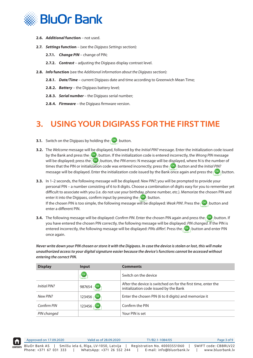<span id="page-3-0"></span>

- **2.6.** *Additional* **function** not used.
- **2.7.** *Settings* **function** (see the *Digipass Settings* section):
	- **2.7.1.** *Change PIN* change of PIN;
	- **2.7.2.** *Contrast* adjusting the Digipass display contrast level.
- **2.8.** *Info* **function** (see the *Additional information about the Digipass* section):
	- **2.8.1.** *Date/Time* current Digipass date and time according to Greenwich Mean Time;
	- **2.8.2.** *Battery* the Digipass battery level;
	- **2.8.3.** *Serial number*  the Digipass serial number;
	- **2.8.4.** *Firmware* the Digipass firmware version.

## **3. USING YOUR DIGIPASS FOR THE FIRST TIME**

- **3.1.** Switch on the Digipass by holding the  $\begin{bmatrix} \circ\mathbf{k} \end{bmatrix}$  button.
- **3.2.** The *Welcome* message will be displayed, followed by the *Initial PIN?* message. Enter the initialization code issued by the Bank and press the **button.** If the initialization code is entered incorrectly, the *Wrong PIN* message will be displayed; press the **button, the** *PIN errors***:** N message will be displayed, where N is the number of times that the PIN or initialization code was entered incorrectly; press the **COK** button and the *Initial PIN?* message will be displayed. Enter the initialization code issued by the Bank once again and press the  $\sim$  button.
- **3.3.** In 1–2 seconds, the following message will be displayed: *New PIN?*; you will be prompted to provide your personal PIN – a number consisting of 6 to 8 digits. Choose a combination of digits easy for you to remember yet difficult to associate with you (i.e. do not use your birthday, phone number, etc.). Memorize the chosen PIN and enter it into the Digipass, confirm input by pressing the  $\left\{ \frac{\infty}{\infty}, \frac{\infty}{\infty} \right\}$  button. If the chosen PIN is too simple, the following message will be displayed: *Weak PIN!*. Press the  $\left\{\frac{X}{Y}\right\}$ button and enter a different PIN.
- **3.4.** The following message will be displayed: *Confirm PIN*. Enter the chosen PIN again and press the **buth** button. If you have entered the chosen PIN correctly, the following message will be displayed: *PIN changed.* If the PIN is entered incorrectly, the following message will be displayed: *PINs differ!*. Press the **button and enter PIN** once again.

*Never write down your PIN chosen or store it with the Digipass. In case the device is stolen or lost, this will make unauthorized access to your digital signature easier because the device's functions cannot be accessed without entering the correct PIN.*

| <b>Display</b> | Input                                           | <b>Comments</b>                                                                                         |
|----------------|-------------------------------------------------|---------------------------------------------------------------------------------------------------------|
|                | $(\alpha k)$<br>-ON/OFF                         | Switch on the device                                                                                    |
| Initial PIN?   | OK<br>987654<br>ON/OFF                          | After the device is switched on for the first time, enter the<br>initialization code issued by the Bank |
| New PIN?       | $\overline{\phantom{a}}$ OK<br>123456<br>ON/OFF | Enter the chosen PIN (6 to 8 digits) and memorize it                                                    |
| Confirm PIN    | $\overline{\phantom{a}}$ OK<br>123456<br>ON/OFF | Confirm the PIN                                                                                         |
| PIN changed    |                                                 | Your PIN is set                                                                                         |

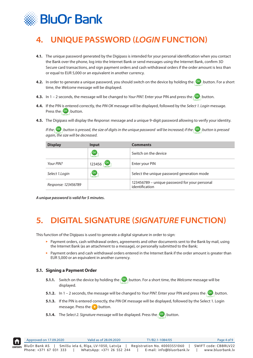<span id="page-4-0"></span>

# **4. UNIQUE PASSWORD (***LOGIN* **FUNCTION)**

- **4.1.** The unique password generated by the Digipass is intended for your personal identification when you contact the Bank over the phone, log into the Internet Bank or send messages using the Internet Bank, confirm 3D Secure card transactions, and sign payment orders and cash withdrawal orders if the order amount is less than or equal to EUR 5,000 or an equivalent in another currency.
- **4.2.** In order to generate a unique password, you should switch on the device by holding the **button.** For a short time, the *Welcome* message will be displayed.
- **4.3.** In 1 2 seconds, the message will be changed to *Your PIN?*. Enter your PIN and press the  $\sim$  button.
- **4.4.** If the PIN is entered correctly, the *PIN OK* message will be displayed, followed by the *Select 1. Login* message. Press the  $\sqrt{^\circledR}$  button.
- **4.5.** The Digipass will display the *Response*: message and a unique 9-digit password allowing to verify your identity.

*If the*  $\frac{1}{2}$  button is pressed, the size of digits in the unique password will be increased; if the  $\frac{1}{2}$  button is pressed *again, the size will be decreased.*

| <b>Display</b>      | Input              | <b>Comments</b>                                                 |
|---------------------|--------------------|-----------------------------------------------------------------|
|                     | OK<br>$-ON/OFF -$  | Switch on the device                                            |
| Your PIN?           | $\alpha$<br>123456 | Enter your PIN                                                  |
| Select 1.Login      | OK<br>-ON/OFF-     | Select the unique password generation mode                      |
| Response: 123456789 |                    | 123456789 – unique password for your personal<br>identification |

*A unique password is valid for 5 minutes.*

# **5. DIGITAL SIGNATURE (***SIGNATURE* **FUNCTION)**

This function of the Digipass is used to generate a digital signature in order to sign:

- ▸ Payment orders, cash withdrawal orders, agreements and other documents sent to the Bank by mail, using the Internet Bank (as an attachment to a message), or personally submitted to the Bank;
- Payment orders and cash withdrawal orders entered in the Internet Bank if the order amount is greater than EUR 5,000 or an equivalent in another currency.

#### **5.1. Signing a Payment Order**

- **5.1.1.** Switch on the device by holding the  $\lceil \frac{OK}{B} \rceil$  button. For a short time, the *Welcome* message will be displayed.
- **5.1.2.** In 1 2 seconds, the message will be changed to *Your PIN?*. Enter your PIN and press the  $\lceil$ <sup>OK</sup><sub>1</sub> button.
- **5.1.3.** If the PIN is entered correctly, the *PIN OK* message will be displayed, followed by the Select 1. Login message. Press the  $\triangleright$  button.
- **5.1.4.** The *Select 2. Signature* message will be displayed. Press the **button**.

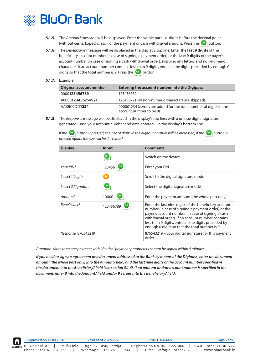

- **5.1.5.** The *Amount?* message will be displayed. Enter the whole part, i.e. digits before the decimal point (without cents, kopecks, etc.), of the payment or cash withdrawal amount. Press the  $\left\lceil \frac{OK}{S} \right\rceil$  button.
- **5.1.6.** The *Beneficiary?* message will be displayed in the display's top line. Enter the **last 9 digits** of the beneficiary account number (in case of signing a payment order) or the **last 9 digits** of the payer's account number (in case of signing a cash withdrawal order), skipping any letters and non-numeric characters. If an account number contains less than 9 digits, enter all the digits preceded by enough 0 digits so that the total number is 9. Press the  $\sqrt{8}$  button.

#### **5.1.7.** Example:

| <b>Original account number</b> | <b>Entering the account number into the Digipass</b>                                         |
|--------------------------------|----------------------------------------------------------------------------------------------|
| 0000123456789                  | 123456789                                                                                    |
| A00001234567SAV21              | 123456721 (all non-numeric characters are skipped)                                           |
| AABBCCDD1234                   | 000001234 (zeroes are added for the total number of digits in the<br>account number to be 9) |

**5.1.8.** The *Response:* message will be displayed in the display's top line, with a unique digital signature – generated using your account number and data entered – in the display's bottom line.

*If the*  $\frac{1}{2}$  button is pressed, the size of digits in the digital signature will be increased; if the  $\frac{1}{2}$  button is *pressed again, the size will be decreased.*

| <b>Display</b>      | Input        | <b>Comments</b>                                                                                                                                                                                                                                                                                                               |
|---------------------|--------------|-------------------------------------------------------------------------------------------------------------------------------------------------------------------------------------------------------------------------------------------------------------------------------------------------------------------------------|
|                     | OK<br>ON/OFF | Switch on the device                                                                                                                                                                                                                                                                                                          |
| Your PIN?           | 123456       | Enter your PIN                                                                                                                                                                                                                                                                                                                |
| Select 1.Login      |              | Scroll to the digital signature mode                                                                                                                                                                                                                                                                                          |
| Select 2.Signature  | OK<br>ON/OFF | Select the digital signature mode                                                                                                                                                                                                                                                                                             |
| Amount?             | 10000        | Enter the payment amount (the whole part only)                                                                                                                                                                                                                                                                                |
| Beneficiary?        | 123456789    | Enter the last nine digits of the beneficiary account<br>number (in case of signing a payment order) or the<br>payer's account number (in case of signing a cash<br>withdrawal order). If an account number contains<br>less than 9 digits, enter all the digits preceded by<br>enough 0 digits so that the total number is 9 |
| Response: 876543219 |              | 876543219 – your digital signature for this payment<br>order                                                                                                                                                                                                                                                                  |

*Attention! More than one payment with identical payment parameters cannot be signed within 4 minutes.*

*If you need to sign an agreement or a document addressed to the Bank by means of the Digipass, enter the document amount (the whole part only) into the Amount? field, and the last nine digits of the account number specified in the document into the Beneficiary? field (see section 5.1.6). If no amount and/or account number is specified in the document, enter 0 into the Amount? field and/or 9 zeroes into the Beneficiary? field.* 

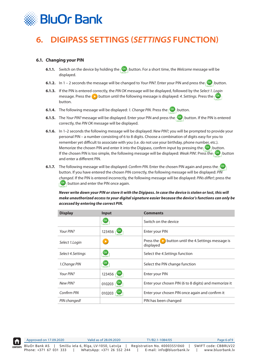<span id="page-6-0"></span>

# **6. DIGIPASS SETTINGS (***SETTINGS* **FUNCTION)**

#### **6.1. Changing your PIN**

- **6.1.1.** Switch on the device by holding the **button.** For a short time, the *Welcome* message will be displayed.
- **6.1.2.** In 1 2 seconds the message will be changed to *Your PIN?*. Enter your PIN and press the  $\lceil$ <sup>OK</sup><sub>1</sub> button.
- **6.1.3.** If the PIN is entered correctly, the *PIN OK* message will be displayed, followed by the *Select 1. Login* message. Press the **button until the following message is displayed: 4. Settings. Press the**  $\frac{Q(K)}{2}$ button.
- **6.1.4.** The following message will be displayed: *1. Change PIN*. Press the  $\lceil \frac{0 \kappa}{1} \rceil$  button.
- **6.1.5.** The *Your PIN?* message will be displayed. Enter your PIN and press the **DK** button. If the PIN is entered correctly, the *PIN OK* message will be displayed.
- **6.1.6.** In 1–2 seconds the following message will be displayed: *New PIN?*; you will be prompted to provide your personal PIN – a number consisting of 6 to 8 digits. Choose a combination of digits easy for you to remember yet difficult to associate with you (i.e. do not use your birthday, phone number, etc.). Memorize the chosen PIN and enter it into the Digipass, confirm input by pressing the  $\left| \right|^{O(K)}$  button. If the chosen PIN is too simple, the following message will be displayed: *Weak PIN!*. Press the **Button** and enter a different PIN.
- **6.1.7.** The following message will be displayed: *Confirm PIN*. Enter the chosen PIN again and press the **COK** button. If you have entered the chosen PIN correctly, the following message will be displayed: *PIN changed*. If the PIN is entered incorrectly, the following message will be displayed: *PINs differ!*; press the  $\left[\frac{OK}{R}\right]$  button and enter the PIN once again.

*Never write down your PIN or store it with the Digipass. In case the device is stolen or lost, this will make unauthorized access to your digital signature easier because the device's functions can only be accessed by entering the correct PIN.*

| <b>Display</b>     | Input                             | <b>Comments</b>                                                                         |
|--------------------|-----------------------------------|-----------------------------------------------------------------------------------------|
|                    | [OK]<br>ON/OFF-                   | Switch on the device                                                                    |
| Your PIN?          | 123456                            | Enter your PIN                                                                          |
| Select 1.Login     | $\blacktriangleright$             | button until the 4. Settings message is<br>Press the $\blacktriangleright$<br>displayed |
| Select 4. Settings | $($ OK $)$<br>ON/OFF-             | Select the 4. Settings function                                                         |
| 1.Change PIN       | $($ OK $)$<br>LON/OFF-            | Select the PIN change function                                                          |
| Your PIN?          | $\overline{\mathsf{C}}$<br>123456 | Enter your PIN                                                                          |
| New PIN?           | OK<br>010203                      | Enter your chosen PIN (6 to 8 digits) and memorize it                                   |
| Confirm PIN        | 010203                            | Enter your chosen PIN once again and confirm it                                         |
| PIN changed!       |                                   | PIN has been changed                                                                    |

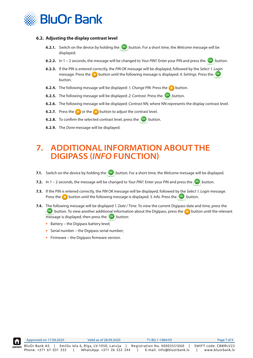<span id="page-7-0"></span>

#### **6.2. Adjusting the display contrast level**

- **6.2.1.** Switch on the device by holding the **button.** For a short time, the *Welcome* message will be displayed.
- **6.2.2.** In 1 2 seconds, the message will be changed to *Your PIN?*. Enter your PIN and press the pox button.
- **6.2.3.** If the PIN is entered correctly, the *PIN OK* message will be displayed, followed by the *Select 1. Login* message. Press the **button until the following message is displayed: 4. Settings. Press the poxy** button.
- **6.2.4.** The following message will be displayed: *1. Change PIN*. Press the **button.**
- **6.2.5.** The following message will be displayed: 2. Contrast. Press the  $\left[O\right]$  button.
- **6.2.6.** The following message will be displayed: *Contrast NN*, where NN represents the display contrast level.
- **6.2.7.** Press the **button to adjust the contrast level.**
- **6.2.8.** To confirm the selected contrast level, press the  $\sqrt{8}$  button.
- **6.2.9.** The *Done* message will be displayed.

### **7. ADDITIONAL INFORMATION ABOUT THE DIGIPASS (***INFO* **FUNCTION)**

- **7.1.** Switch on the device by holding the  $\left| \frac{dN}{d} \right|$  button. For a short time, the *Welcome* message will be displayed.
- **7.2.** In 1 2 seconds, the message will be changed to *Your PIN?*. Enter your PIN and press the pox button.
- **7.3.** If the PIN is entered correctly, the *PIN OK* message will be displayed, followed by the *Select 1. Login* message. Press the **button until the following message is displayed:** *5. Info.* Press the  $\left\{ \infty \atop n \right\}$  button.
- **7.4.** The following message will be displayed *1. Date / Time*. To view the current Digipass date and time, press the  $\lceil 0K \rceil$  button. To view another additional information about the Digipass, press the  $\blacktriangleright$  button until the relevant message is displayed, then press the  $\lceil \frac{OK}{I} \rceil$  button:
	- ▸ Battery the Digipass battery level;
	- $\triangleright$  Serial number the Digipass serial number;
	- $\blacktriangleright$  Firmware the Digipass firmware version.

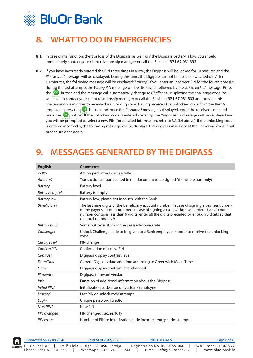<span id="page-8-0"></span>

# **8. WHAT TO DO IN EMERGENCIES**

- **8.1.** In case of malfunction, theft or loss of the Digipass, as well as if the Digipass battery is low, you should immediately contact your client relationship manager or call the Bank at **+371 67 031 333**.
- **8.2.** If you have incorrectly entered the PIN three times in a row, the Digipass will be locked for 10 minutes and the *Please wait!* message will be displayed. During this time, the Digipass cannot be used or switched off. After 10 minutes, the following message will be displayed: *Last try!.* If you enter an incorrect PIN for the fourth time (i.e. during the last attempt), the *Wrong PIN* message will be displayed, followed by the *Token locked* message. Press the  $\left[\frac{QK}{D}\right]$  button and the message will automatically change to *Challenge*:, displaying the challenge code. You will have to contact your client relationship manager or call the Bank at **+371 67 031 333** and provide this challenge code in order to receive the unlocking code. Having received the unlocking code from the Bank's employee, press the  $\left|\mathbb{O}^{\mathsf{K}}\right|$  button and, once the *Response*? message is displayed, enter the received code and press the **Button.** If the unlocking code is entered correctly, the *Response OK* message will be displayed and you will be prompted to select a new PIN (for detailed information, refer to 3.3-3.4 above). If the unlocking code is entered incorrectly, the following message will be displayed: *Wrong response*. Repeat the unlocking code input procedure once again.

# **9. MESSAGES GENERATED BY THE DIGIPASS**

| <b>English</b>        | <b>Comments</b>                                                                                                                                                                                                                                                                                                   |
|-----------------------|-------------------------------------------------------------------------------------------------------------------------------------------------------------------------------------------------------------------------------------------------------------------------------------------------------------------|
| $<$ OK $>$            | Action performed successfully                                                                                                                                                                                                                                                                                     |
| Amount?               | Transaction amount stated in the document to be signed (the whole part only)                                                                                                                                                                                                                                      |
| <b>Battery</b>        | <b>Battery level</b>                                                                                                                                                                                                                                                                                              |
| <b>Battery empty!</b> | Battery is empty                                                                                                                                                                                                                                                                                                  |
| <b>Battery low!</b>   | Battery low, please get in touch with the Bank                                                                                                                                                                                                                                                                    |
| Beneficiary?          | The last nine digits of the beneficiary account number (in case of signing a payment order)<br>or the payer's account number (in case of signing a cash withdrawal order). If an account<br>number contains less than 9 digits, enter all the digits preceded by enough 0 digits so that<br>the total number is 9 |
| <b>Button stuck</b>   | Some button is stuck in the pressed-down state                                                                                                                                                                                                                                                                    |
| Challenge:            | Unlock Challenge code to be given to a Bank employee in order to receive the unlocking<br>code                                                                                                                                                                                                                    |
| Change PIN            | PIN change                                                                                                                                                                                                                                                                                                        |
| Confirm PIN           | Confirmation of a new PIN                                                                                                                                                                                                                                                                                         |
| Contrast              | Digipass display contrast level                                                                                                                                                                                                                                                                                   |
| Date/Time             | Current Digipass date and time according to Greenwich Mean Time                                                                                                                                                                                                                                                   |
| Done                  | Digipass display contrast level changed                                                                                                                                                                                                                                                                           |
| Firmware              | Digipass firmware version                                                                                                                                                                                                                                                                                         |
| Info                  | Function of additional information about the Digipass                                                                                                                                                                                                                                                             |
| <b>Initial PIN?</b>   | Initialization code issued by a Bank employee                                                                                                                                                                                                                                                                     |
| Last try!             | Last PIN or unlock code attempt                                                                                                                                                                                                                                                                                   |
| Login                 | Unique password function                                                                                                                                                                                                                                                                                          |
| New PIN?              | <b>New PIN</b>                                                                                                                                                                                                                                                                                                    |
| PIN changed           | PIN changed successfully                                                                                                                                                                                                                                                                                          |
| PIN errors:           | Number of PIN or initialization code incorrect entry code attempts                                                                                                                                                                                                                                                |